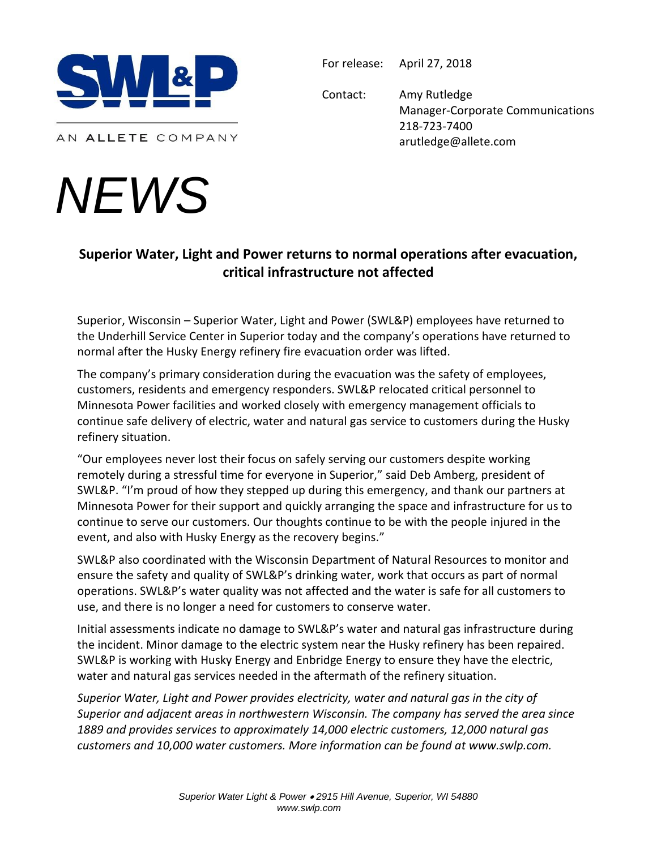

AN ALLETE COMPANY

## *NEWS*

For release: April 27, 2018

Contact: Amy Rutledge Manager-Corporate Communications 218-723-7400 arutledge@allete.com

## **Superior Water, Light and Power returns to normal operations after evacuation, critical infrastructure not affected**

Superior, Wisconsin – Superior Water, Light and Power (SWL&P) employees have returned to the Underhill Service Center in Superior today and the company's operations have returned to normal after the Husky Energy refinery fire evacuation order was lifted.

The company's primary consideration during the evacuation was the safety of employees, customers, residents and emergency responders. SWL&P relocated critical personnel to Minnesota Power facilities and worked closely with emergency management officials to continue safe delivery of electric, water and natural gas service to customers during the Husky refinery situation.

"Our employees never lost their focus on safely serving our customers despite working remotely during a stressful time for everyone in Superior," said Deb Amberg, president of SWL&P. "I'm proud of how they stepped up during this emergency, and thank our partners at Minnesota Power for their support and quickly arranging the space and infrastructure for us to continue to serve our customers. Our thoughts continue to be with the people injured in the event, and also with Husky Energy as the recovery begins."

SWL&P also coordinated with the Wisconsin Department of Natural Resources to monitor and ensure the safety and quality of SWL&P's drinking water, work that occurs as part of normal operations. SWL&P's water quality was not affected and the water is safe for all customers to use, and there is no longer a need for customers to conserve water.

Initial assessments indicate no damage to SWL&P's water and natural gas infrastructure during the incident. Minor damage to the electric system near the Husky refinery has been repaired. SWL&P is working with Husky Energy and Enbridge Energy to ensure they have the electric, water and natural gas services needed in the aftermath of the refinery situation.

*Superior Water, Light and Power provides electricity, water and natural gas in the city of Superior and adjacent areas in northwestern Wisconsin. The company has served the area since 1889 and provides services to approximately 14,000 electric customers, 12,000 natural gas customers and 10,000 water customers. More information can be found at www.swlp.com.*